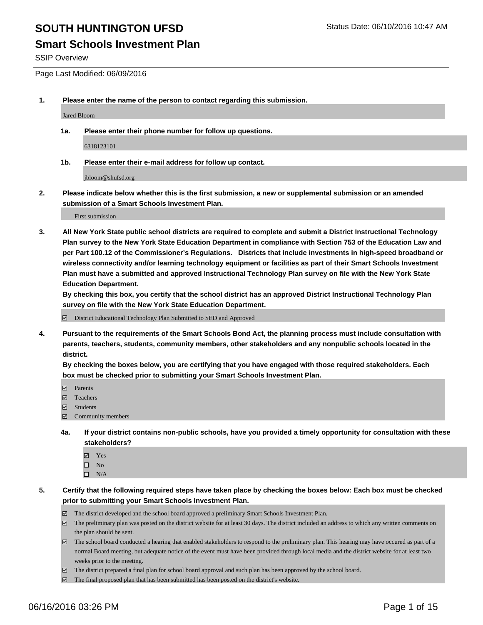## **Smart Schools Investment Plan**

SSIP Overview

Page Last Modified: 06/09/2016

**1. Please enter the name of the person to contact regarding this submission.**

Jared Bloom

**1a. Please enter their phone number for follow up questions.**

6318123101

**1b. Please enter their e-mail address for follow up contact.**

jbloom@shufsd.org

**2. Please indicate below whether this is the first submission, a new or supplemental submission or an amended submission of a Smart Schools Investment Plan.**

First submission

**3. All New York State public school districts are required to complete and submit a District Instructional Technology Plan survey to the New York State Education Department in compliance with Section 753 of the Education Law and per Part 100.12 of the Commissioner's Regulations. Districts that include investments in high-speed broadband or wireless connectivity and/or learning technology equipment or facilities as part of their Smart Schools Investment Plan must have a submitted and approved Instructional Technology Plan survey on file with the New York State Education Department.** 

**By checking this box, you certify that the school district has an approved District Instructional Technology Plan survey on file with the New York State Education Department.**

District Educational Technology Plan Submitted to SED and Approved

**4. Pursuant to the requirements of the Smart Schools Bond Act, the planning process must include consultation with parents, teachers, students, community members, other stakeholders and any nonpublic schools located in the district.** 

**By checking the boxes below, you are certifying that you have engaged with those required stakeholders. Each box must be checked prior to submitting your Smart Schools Investment Plan.**

- **Parents**
- Teachers
- Students
- Community members
- **4a. If your district contains non-public schools, have you provided a timely opportunity for consultation with these stakeholders?**
	- Yes  $\square$  No
	- $\square$  N/A
- **5. Certify that the following required steps have taken place by checking the boxes below: Each box must be checked prior to submitting your Smart Schools Investment Plan.**
	- The district developed and the school board approved a preliminary Smart Schools Investment Plan.
	- $\Box$  The preliminary plan was posted on the district website for at least 30 days. The district included an address to which any written comments on the plan should be sent.
	- $\Box$  The school board conducted a hearing that enabled stakeholders to respond to the preliminary plan. This hearing may have occured as part of a normal Board meeting, but adequate notice of the event must have been provided through local media and the district website for at least two weeks prior to the meeting.
	- The district prepared a final plan for school board approval and such plan has been approved by the school board.
	- $\boxdot$  The final proposed plan that has been submitted has been posted on the district's website.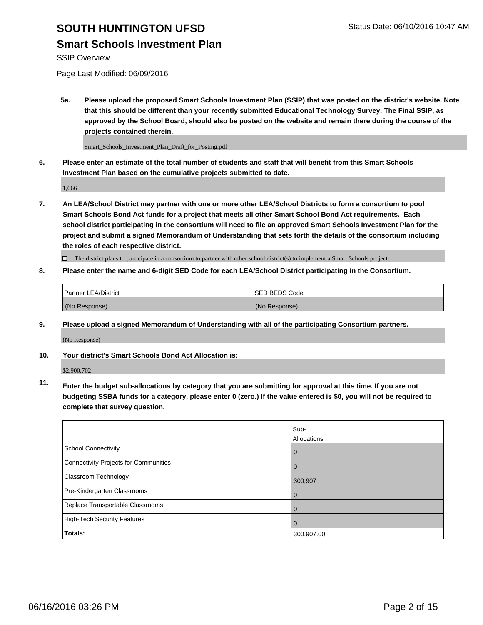## **Smart Schools Investment Plan**

SSIP Overview

Page Last Modified: 06/09/2016

**5a. Please upload the proposed Smart Schools Investment Plan (SSIP) that was posted on the district's website. Note that this should be different than your recently submitted Educational Technology Survey. The Final SSIP, as approved by the School Board, should also be posted on the website and remain there during the course of the projects contained therein.**

Smart\_Schools\_Investment\_Plan\_Draft\_for\_Posting.pdf

**6. Please enter an estimate of the total number of students and staff that will benefit from this Smart Schools Investment Plan based on the cumulative projects submitted to date.**

1,666

**7. An LEA/School District may partner with one or more other LEA/School Districts to form a consortium to pool Smart Schools Bond Act funds for a project that meets all other Smart School Bond Act requirements. Each school district participating in the consortium will need to file an approved Smart Schools Investment Plan for the project and submit a signed Memorandum of Understanding that sets forth the details of the consortium including the roles of each respective district.**

 $\Box$  The district plans to participate in a consortium to partner with other school district(s) to implement a Smart Schools project.

**8. Please enter the name and 6-digit SED Code for each LEA/School District participating in the Consortium.**

| <b>Partner LEA/District</b> | ISED BEDS Code |
|-----------------------------|----------------|
| (No Response)               | (No Response)  |

**9. Please upload a signed Memorandum of Understanding with all of the participating Consortium partners.**

(No Response)

**10. Your district's Smart Schools Bond Act Allocation is:**

\$2,900,702

**11. Enter the budget sub-allocations by category that you are submitting for approval at this time. If you are not budgeting SSBA funds for a category, please enter 0 (zero.) If the value entered is \$0, you will not be required to complete that survey question.**

|                                       | Sub-        |
|---------------------------------------|-------------|
|                                       | Allocations |
| <b>School Connectivity</b>            | 0           |
| Connectivity Projects for Communities | $\Omega$    |
| Classroom Technology                  | 300,907     |
| Pre-Kindergarten Classrooms           | $\Omega$    |
| Replace Transportable Classrooms      | $\Omega$    |
| High-Tech Security Features           | $\Omega$    |
| Totals:                               | 300,907.00  |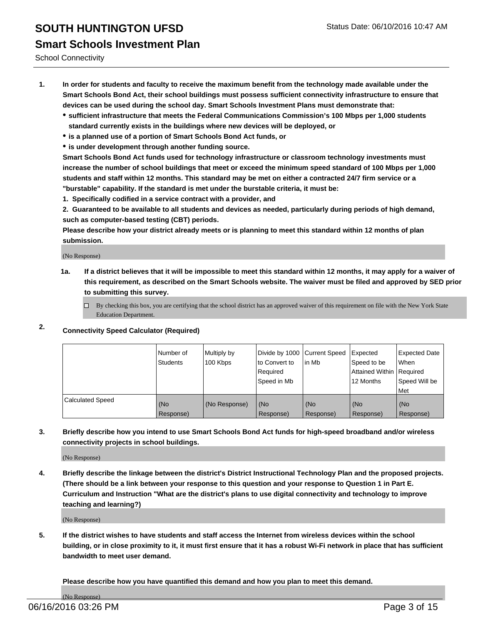## **SOUTH HUNTINGTON UFSD** Status Date: 06/10/2016 10:47 AM **Smart Schools Investment Plan**

School Connectivity

- **1. In order for students and faculty to receive the maximum benefit from the technology made available under the Smart Schools Bond Act, their school buildings must possess sufficient connectivity infrastructure to ensure that devices can be used during the school day. Smart Schools Investment Plans must demonstrate that:**
	- **sufficient infrastructure that meets the Federal Communications Commission's 100 Mbps per 1,000 students standard currently exists in the buildings where new devices will be deployed, or**
	- **is a planned use of a portion of Smart Schools Bond Act funds, or**
	- **is under development through another funding source.**

**Smart Schools Bond Act funds used for technology infrastructure or classroom technology investments must increase the number of school buildings that meet or exceed the minimum speed standard of 100 Mbps per 1,000 students and staff within 12 months. This standard may be met on either a contracted 24/7 firm service or a "burstable" capability. If the standard is met under the burstable criteria, it must be:**

**1. Specifically codified in a service contract with a provider, and**

**2. Guaranteed to be available to all students and devices as needed, particularly during periods of high demand, such as computer-based testing (CBT) periods.**

**Please describe how your district already meets or is planning to meet this standard within 12 months of plan submission.**

(No Response)

- **1a. If a district believes that it will be impossible to meet this standard within 12 months, it may apply for a waiver of this requirement, as described on the Smart Schools website. The waiver must be filed and approved by SED prior to submitting this survey.**
	- □ By checking this box, you are certifying that the school district has an approved waiver of this requirement on file with the New York State Education Department.
- **2. Connectivity Speed Calculator (Required)**

|                         | i Number of<br><b>Students</b> | Multiply by<br>100 Kbps | Divide by 1000 Current Speed<br>Ito Convert to<br>Required<br>l Speed in Mb | lin Mb           | Expected<br>Speed to be<br>Attained Within   Required<br>12 Months | Expected Date<br><b>When</b><br>Speed Will be<br>l Met |
|-------------------------|--------------------------------|-------------------------|-----------------------------------------------------------------------------|------------------|--------------------------------------------------------------------|--------------------------------------------------------|
| <b>Calculated Speed</b> | (No<br>Response)               | (No Response)           | (No<br>Response)                                                            | (No<br>Response) | (No<br>Response)                                                   | l (No<br>Response)                                     |

### **3. Briefly describe how you intend to use Smart Schools Bond Act funds for high-speed broadband and/or wireless connectivity projects in school buildings.**

(No Response)

**4. Briefly describe the linkage between the district's District Instructional Technology Plan and the proposed projects. (There should be a link between your response to this question and your response to Question 1 in Part E. Curriculum and Instruction "What are the district's plans to use digital connectivity and technology to improve teaching and learning?)**

(No Response)

**5. If the district wishes to have students and staff access the Internet from wireless devices within the school building, or in close proximity to it, it must first ensure that it has a robust Wi-Fi network in place that has sufficient bandwidth to meet user demand.**

**Please describe how you have quantified this demand and how you plan to meet this demand.**

(No Response)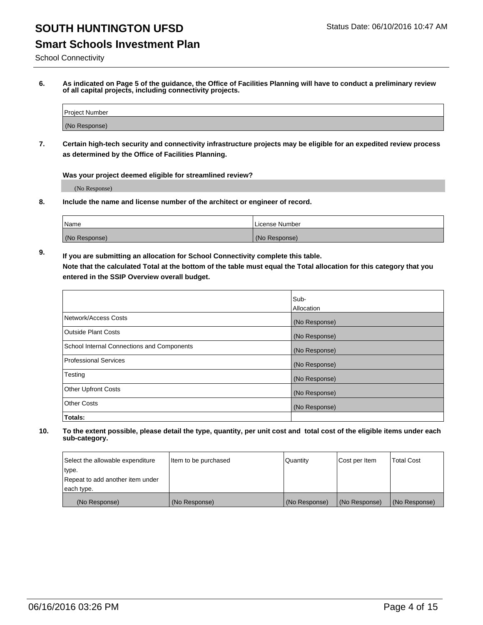## **SOUTH HUNTINGTON UFSD** Status Date: 06/10/2016 10:47 AM **Smart Schools Investment Plan**

School Connectivity

**6. As indicated on Page 5 of the guidance, the Office of Facilities Planning will have to conduct a preliminary review of all capital projects, including connectivity projects.**

| Project Number |  |
|----------------|--|
| (No Response)  |  |

**7. Certain high-tech security and connectivity infrastructure projects may be eligible for an expedited review process as determined by the Office of Facilities Planning.**

**Was your project deemed eligible for streamlined review?**

(No Response)

**8. Include the name and license number of the architect or engineer of record.**

| Name          | i License Number |
|---------------|------------------|
| (No Response) | (No Response)    |

**9. If you are submitting an allocation for School Connectivity complete this table. Note that the calculated Total at the bottom of the table must equal the Total allocation for this category that you entered in the SSIP Overview overall budget.** 

|                                            | Sub-              |
|--------------------------------------------|-------------------|
|                                            | <b>Allocation</b> |
| Network/Access Costs                       | (No Response)     |
| <b>Outside Plant Costs</b>                 | (No Response)     |
| School Internal Connections and Components | (No Response)     |
| <b>Professional Services</b>               | (No Response)     |
| Testing                                    | (No Response)     |
| <b>Other Upfront Costs</b>                 | (No Response)     |
| <b>Other Costs</b>                         | (No Response)     |
| Totals:                                    |                   |

| Select the allowable expenditure | Item to be purchased | Quantity      | Cost per Item | Total Cost    |
|----------------------------------|----------------------|---------------|---------------|---------------|
| type.                            |                      |               |               |               |
| Repeat to add another item under |                      |               |               |               |
| each type.                       |                      |               |               |               |
| (No Response)                    | (No Response)        | (No Response) | (No Response) | (No Response) |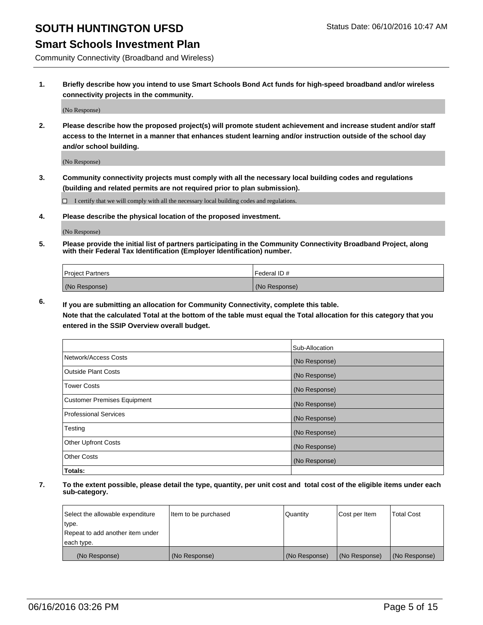### **Smart Schools Investment Plan**

Community Connectivity (Broadband and Wireless)

**1. Briefly describe how you intend to use Smart Schools Bond Act funds for high-speed broadband and/or wireless connectivity projects in the community.**

(No Response)

**2. Please describe how the proposed project(s) will promote student achievement and increase student and/or staff access to the Internet in a manner that enhances student learning and/or instruction outside of the school day and/or school building.**

(No Response)

**3. Community connectivity projects must comply with all the necessary local building codes and regulations (building and related permits are not required prior to plan submission).**

 $\Box$  I certify that we will comply with all the necessary local building codes and regulations.

**4. Please describe the physical location of the proposed investment.**

(No Response)

**5. Please provide the initial list of partners participating in the Community Connectivity Broadband Project, along with their Federal Tax Identification (Employer Identification) number.**

| <b>Project Partners</b> | <b>IFederal ID#</b> |
|-------------------------|---------------------|
| (No Response)           | (No Response)       |

**6. If you are submitting an allocation for Community Connectivity, complete this table.**

**Note that the calculated Total at the bottom of the table must equal the Total allocation for this category that you entered in the SSIP Overview overall budget.**

|                                    | Sub-Allocation |
|------------------------------------|----------------|
| Network/Access Costs               | (No Response)  |
| Outside Plant Costs                | (No Response)  |
| Tower Costs                        | (No Response)  |
| <b>Customer Premises Equipment</b> | (No Response)  |
| Professional Services              | (No Response)  |
| Testing                            | (No Response)  |
| <b>Other Upfront Costs</b>         | (No Response)  |
| Other Costs                        | (No Response)  |
| Totals:                            |                |

| Select the allowable expenditure | Item to be purchased | Quantity      | Cost per Item | <b>Total Cost</b> |
|----------------------------------|----------------------|---------------|---------------|-------------------|
| type.                            |                      |               |               |                   |
| Repeat to add another item under |                      |               |               |                   |
| each type.                       |                      |               |               |                   |
| (No Response)                    | (No Response)        | (No Response) | (No Response) | (No Response)     |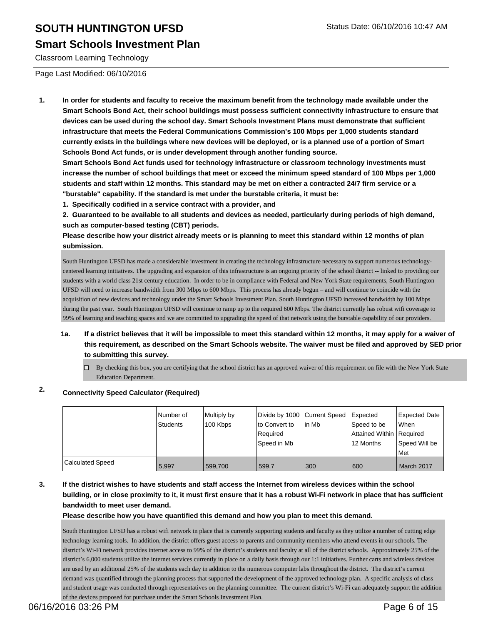### **Smart Schools Investment Plan**

Classroom Learning Technology

Page Last Modified: 06/10/2016

**1. In order for students and faculty to receive the maximum benefit from the technology made available under the Smart Schools Bond Act, their school buildings must possess sufficient connectivity infrastructure to ensure that devices can be used during the school day. Smart Schools Investment Plans must demonstrate that sufficient infrastructure that meets the Federal Communications Commission's 100 Mbps per 1,000 students standard currently exists in the buildings where new devices will be deployed, or is a planned use of a portion of Smart Schools Bond Act funds, or is under development through another funding source.**

**Smart Schools Bond Act funds used for technology infrastructure or classroom technology investments must increase the number of school buildings that meet or exceed the minimum speed standard of 100 Mbps per 1,000 students and staff within 12 months. This standard may be met on either a contracted 24/7 firm service or a "burstable" capability. If the standard is met under the burstable criteria, it must be:**

**1. Specifically codified in a service contract with a provider, and**

**2. Guaranteed to be available to all students and devices as needed, particularly during periods of high demand, such as computer-based testing (CBT) periods.**

**Please describe how your district already meets or is planning to meet this standard within 12 months of plan submission.**

South Huntington UFSD has made a considerable investment in creating the technology infrastructure necessary to support numerous technologycentered learning initiatives. The upgrading and expansion of this infrastructure is an ongoing priority of the school district -- linked to providing our students with a world class 21st century education. In order to be in compliance with Federal and New York State requirements, South Huntington UFSD will need to increase bandwidth from 300 Mbps to 600 Mbps. This process has already begun – and will continue to coincide with the acquisition of new devices and technology under the Smart Schools Investment Plan. South Huntington UFSD increased bandwidth by 100 Mbps during the past year. South Huntington UFSD will continue to ramp up to the required 600 Mbps. The district currently has robust wifi coverage to 99% of learning and teaching spaces and we are committed to upgrading the speed of that network using the burstable capability of our providers.

- **1a. If a district believes that it will be impossible to meet this standard within 12 months, it may apply for a waiver of this requirement, as described on the Smart Schools website. The waiver must be filed and approved by SED prior to submitting this survey.**
	- $\Box$  By checking this box, you are certifying that the school district has an approved waiver of this requirement on file with the New York State Education Department.

### **2. Connectivity Speed Calculator (Required)**

|                  | Number of<br>Students | Multiply by<br>100 Kbps | Divide by 1000 Current Speed<br>Ito Convert to<br>Required<br>lSpeed in Mb | lin Mb | <b>Expected</b><br>Speed to be<br>Attained Within   Required<br>12 Months | Expected Date<br>When<br>Speed Will be<br>Met |
|------------------|-----------------------|-------------------------|----------------------------------------------------------------------------|--------|---------------------------------------------------------------------------|-----------------------------------------------|
| Calculated Speed | 5.997                 | 599,700                 | 599.7                                                                      | 300    | 600                                                                       | March 2017                                    |

**3. If the district wishes to have students and staff access the Internet from wireless devices within the school building, or in close proximity to it, it must first ensure that it has a robust Wi-Fi network in place that has sufficient bandwidth to meet user demand.**

**Please describe how you have quantified this demand and how you plan to meet this demand.**

South Huntington UFSD has a robust wifi network in place that is currently supporting students and faculty as they utilize a number of cutting edge technology learning tools. In addition, the district offers guest access to parents and community members who attend events in our schools. The district's Wi-Fi network provides internet access to 99% of the district's students and faculty at all of the district schools. Approximately 25% of the district's 6,000 students utilize the internet services currently in place on a daily basis through our 1:1 initiatives. Further carts and wireless devices are used by an additional 25% of the students each day in addition to the numerous computer labs throughout the district. The district's current demand was quantified through the planning process that supported the development of the approved technology plan. A specific analysis of class and student usage was conducted through representatives on the planning committee. The current district's Wi-Fi can adequately support the addition of the devices proposed for purchase under the Smart Schools Investment Plan.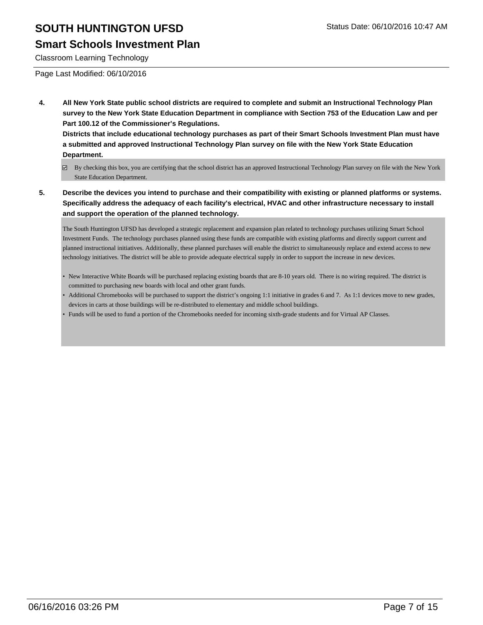## **Smart Schools Investment Plan**

Classroom Learning Technology

Page Last Modified: 06/10/2016

**4. All New York State public school districts are required to complete and submit an Instructional Technology Plan survey to the New York State Education Department in compliance with Section 753 of the Education Law and per Part 100.12 of the Commissioner's Regulations.**

**Districts that include educational technology purchases as part of their Smart Schools Investment Plan must have a submitted and approved Instructional Technology Plan survey on file with the New York State Education Department.**

- By checking this box, you are certifying that the school district has an approved Instructional Technology Plan survey on file with the New York State Education Department.
- **5. Describe the devices you intend to purchase and their compatibility with existing or planned platforms or systems. Specifically address the adequacy of each facility's electrical, HVAC and other infrastructure necessary to install and support the operation of the planned technology.**

The South Huntington UFSD has developed a strategic replacement and expansion plan related to technology purchases utilizing Smart School Investment Funds. The technology purchases planned using these funds are compatible with existing platforms and directly support current and planned instructional initiatives. Additionally, these planned purchases will enable the district to simultaneously replace and extend access to new technology initiatives. The district will be able to provide adequate electrical supply in order to support the increase in new devices.

- New Interactive White Boards will be purchased replacing existing boards that are 8-10 years old. There is no wiring required. The district is committed to purchasing new boards with local and other grant funds.
- Additional Chromebooks will be purchased to support the district's ongoing 1:1 initiative in grades 6 and 7. As 1:1 devices move to new grades, devices in carts at those buildings will be re-distributed to elementary and middle school buildings.
- Funds will be used to fund a portion of the Chromebooks needed for incoming sixth-grade students and for Virtual AP Classes.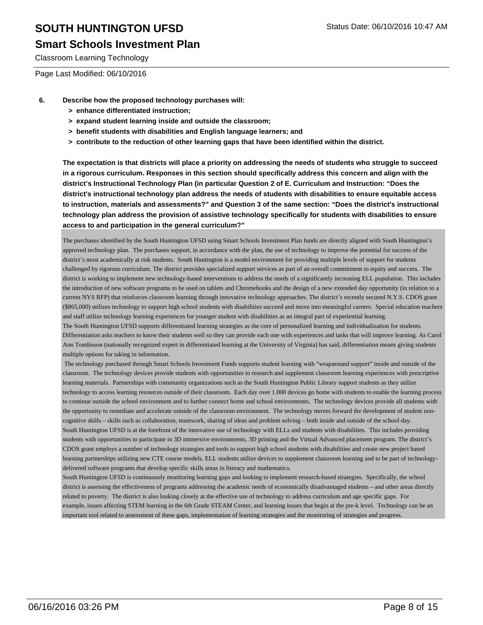### **Smart Schools Investment Plan**

Classroom Learning Technology

Page Last Modified: 06/10/2016

- **6. Describe how the proposed technology purchases will:**
	- **> enhance differentiated instruction;**
	- **> expand student learning inside and outside the classroom;**
	- **> benefit students with disabilities and English language learners; and**
	- **> contribute to the reduction of other learning gaps that have been identified within the district.**

**The expectation is that districts will place a priority on addressing the needs of students who struggle to succeed in a rigorous curriculum. Responses in this section should specifically address this concern and align with the district's Instructional Technology Plan (in particular Question 2 of E. Curriculum and Instruction: "Does the district's instructional technology plan address the needs of students with disabilities to ensure equitable access to instruction, materials and assessments?" and Question 3 of the same section: "Does the district's instructional technology plan address the provision of assistive technology specifically for students with disabilities to ensure access to and participation in the general curriculum?"**

The purchases identified by the South Huntington UFSD using Smart Schools Investment Plan funds are directly aligned with South Huntington's approved technology plan. The purchases support, in accordance with the plan, the use of technology to improve the potential for success of the district's most academically at risk students. South Huntington is a model environment for providing multiple levels of support for students challenged by rigorous curriculum. The district provides specialized support services as part of an overall commitment to equity and success. The district is working to implement new technology-based interventions to address the needs of a significantly increasing ELL population. This includes the introduction of new software programs to be used on tablets and Chromebooks and the design of a new extended day opportunity (in relation to a current NYS RFP) that reinforces classroom learning through innovative technology approaches. The district's recently secured N.Y.S. CDOS grant (\$865,000) utilizes technology to support high school students with disabilities succeed and move into meaningful careers. Special education teachers and staff utilize technology learning experiences for younger student with disabilities as an integral part of experiential learning.

The South Huntington UFSD supports differentiated learning strategies as the core of personalized learning and individualization for students. Differentiation asks teachers to know their students well so they can provide each one with experiences and tasks that will improve learning. As Carol Ann Tomlinson (nationally recognized expert in differentiated learning at the University of Virginia) has said, differentiation means giving students multiple options for taking in information.

 The technology purchased through Smart Schools Investment Funds supports student learning with "wraparound support" inside and outside of the classroom. The technology devices provide students with opportunities to research and supplement classroom learning experiences with prescriptive learning materials. Partnerships with community organizations such as the South Huntington Public Library support students as they utilize technology to access learning resources outside of their classroom. Each day over 1.000 devices go home with students to enable the learning process to continue outside the school environment and to further connect home and school environments. The technology devices provide all students with the opportunity to remediate and accelerate outside of the classroom environment. The technology moves forward the development of student noncognitive skills – skills such as collaboration, teamwork, sharing of ideas and problem solving – both inside and outside of the school day. South Huntington UFSD is at the forefront of the innovative use of technology with ELLs and students with disabilities. This includes providing students with opportunities to participate in 3D immersive environments, 3D printing and the Virtual Advanced placement program. The district's CDOS grant employs a number of technology strategies and tools to support high school students with disabilities and create new project based learning partnerships utilizing new CTE course models. ELL students utilize devices to supplement classroom learning and to be part of technologydelivered software programs that develop specific skills areas in literacy and mathematics.

South Huntington UFSD is continuously monitoring learning gaps and looking to implement research-based strategies. Specifically, the school district is assessing the effectiveness of programs addressing the academic needs of economically disadvantaged students – and other areas directly related to poverty. The district is also looking closely at the effective use of technology to address curriculum and age specific gaps. For example, issues affecting STEM learning in the 6th Grade STEAM Center, and learning issues that begin at the pre-k level. Technology can be an important tool related to assessment of these gaps, implementation of learning strategies and the monitoring of strategies and progress.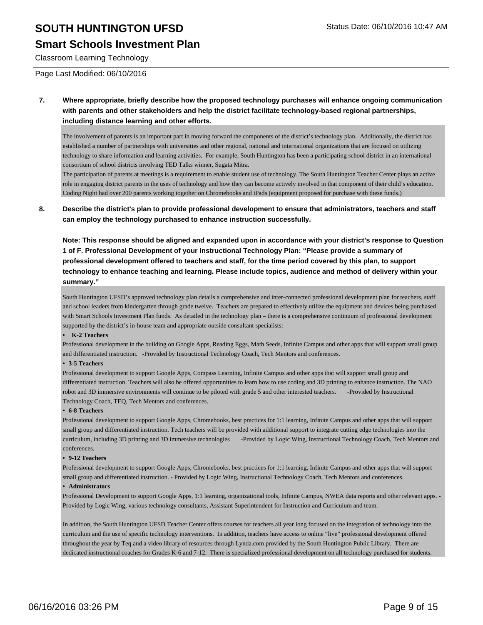### **Smart Schools Investment Plan**

Classroom Learning Technology

Page Last Modified: 06/10/2016

**7. Where appropriate, briefly describe how the proposed technology purchases will enhance ongoing communication with parents and other stakeholders and help the district facilitate technology-based regional partnerships, including distance learning and other efforts.**

The involvement of parents is an important part in moving forward the components of the district's technology plan. Additionally, the district has established a number of partnerships with universities and other regional, national and international organizations that are focused on utilizing technology to share information and learning activities. For example, South Huntington has been a participating school district in an international consortium of school districts involving TED Talks winner, Sugata Mitra.

The participation of parents at meetings is a requirement to enable student use of technology. The South Huntington Teacher Center plays an active role in engaging district parents in the uses of technology and how they can become actively involved in that component of their child's education. Coding Night had over 200 parents working together on Chromebooks and iPads (equipment proposed for purchase with these funds.)

### **8. Describe the district's plan to provide professional development to ensure that administrators, teachers and staff can employ the technology purchased to enhance instruction successfully.**

**Note: This response should be aligned and expanded upon in accordance with your district's response to Question 1 of F. Professional Development of your Instructional Technology Plan: "Please provide a summary of professional development offered to teachers and staff, for the time period covered by this plan, to support technology to enhance teaching and learning. Please include topics, audience and method of delivery within your summary."**

South Huntington UFSD's approved technology plan details a comprehensive and inter-connected professional development plan for teachers, staff and school leaders from kindergarten through grade twelve. Teachers are prepared to effectively utilize the equipment and devices being purchased with Smart Schools Investment Plan funds. As detailed in the technology plan – there is a comprehensive continuum of professional development supported by the district's in-house team and appropriate outside consultant specialists:

#### **• K-2 Teachers**

Professional development in the building on Google Apps, Reading Eggs, Math Seeds, Infinite Campus and other apps that will support small group and differentiated instruction. -Provided by Instructional Technology Coach, Tech Mentors and conferences.

#### **• 3-5 Teachers**

Professional development to support Google Apps, Compass Learning, Infinite Campus and other apps that will support small group and differentiated instruction. Teachers will also be offered opportunities to learn how to use coding and 3D printing to enhance instruction. The NAO robot and 3D immersive environments will continue to be piloted with grade 5 and other interested teachers. -Provided by Instructional Technology Coach, TEQ, Tech Mentors and conferences.

#### **• 6-8 Teachers**

Professional development to support Google Apps, Chromebooks, best practices for 1:1 learning, Infinite Campus and other apps that will support small group and differentiated instruction. Tech teachers will be provided with additional support to integrate cutting edge technologies into the curriculum, including 3D printing and 3D immersive technologies -Provided by Logic Wing, Instructional Technology Coach, Tech Mentors and conferences.

#### **• 9-12 Teachers**

Professional development to support Google Apps, Chromebooks, best practices for 1:1 learning, Infinite Campus and other apps that will support small group and differentiated instruction. - Provided by Logic Wing, Instructional Technology Coach, Tech Mentors and conferences.

#### **• Administrators**

Professional Development to support Google Apps, 1:1 learning, organizational tools, Infinite Campus, NWEA data reports and other relevant apps. - Provided by Logic Wing, various technology consultants, Assistant Superintendent for Instruction and Curriculum and team.

In addition, the South Huntington UFSD Teacher Center offers courses for teachers all year long focused on the integration of technology into the curriculum and the use of specific technology interventions. In addition, teachers have access to online "live" professional development offered throughout the year by Teq and a video library of resources through Lynda.com provided by the South Huntington Public Library. There are dedicated instructional coaches for Grades K-6 and 7-12. There is specialized professional development on all technology purchased for students.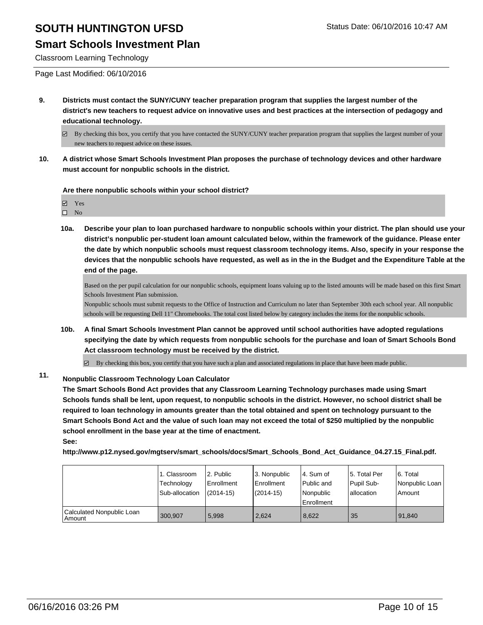### **Smart Schools Investment Plan**

Classroom Learning Technology

- **9. Districts must contact the SUNY/CUNY teacher preparation program that supplies the largest number of the district's new teachers to request advice on innovative uses and best practices at the intersection of pedagogy and educational technology.**
	- By checking this box, you certify that you have contacted the SUNY/CUNY teacher preparation program that supplies the largest number of your new teachers to request advice on these issues.
- **10. A district whose Smart Schools Investment Plan proposes the purchase of technology devices and other hardware must account for nonpublic schools in the district.**

**Are there nonpublic schools within your school district?**

Yes  $\square$  No

**10a. Describe your plan to loan purchased hardware to nonpublic schools within your district. The plan should use your district's nonpublic per-student loan amount calculated below, within the framework of the guidance. Please enter the date by which nonpublic schools must request classroom technology items. Also, specify in your response the devices that the nonpublic schools have requested, as well as in the in the Budget and the Expenditure Table at the end of the page.**

Based on the per pupil calculation for our nonpublic schools, equipment loans valuing up to the listed amounts will be made based on this first Smart Schools Investment Plan submission.

Nonpublic schools must submit requests to the Office of Instruction and Curriculum no later than September 30th each school year. All nonpublic schools will be requesting Dell 11" Chromebooks. The total cost listed below by category includes the items for the nonpublic schools.

**10b. A final Smart Schools Investment Plan cannot be approved until school authorities have adopted regulations specifying the date by which requests from nonpublic schools for the purchase and loan of Smart Schools Bond Act classroom technology must be received by the district.**

 $\boxtimes$  By checking this box, you certify that you have such a plan and associated regulations in place that have been made public.

### **11. Nonpublic Classroom Technology Loan Calculator**

**The Smart Schools Bond Act provides that any Classroom Learning Technology purchases made using Smart Schools funds shall be lent, upon request, to nonpublic schools in the district. However, no school district shall be required to loan technology in amounts greater than the total obtained and spent on technology pursuant to the Smart Schools Bond Act and the value of such loan may not exceed the total of \$250 multiplied by the nonpublic school enrollment in the base year at the time of enactment. See:**

**http://www.p12.nysed.gov/mgtserv/smart\_schools/docs/Smart\_Schools\_Bond\_Act\_Guidance\_04.27.15\_Final.pdf.**

|                                       | 1. Classroom<br>Technology<br>Sub-allocation | 2. Public<br><b>Enrollment</b><br>$(2014-15)$ | 3. Nonpublic<br>Enrollment<br>$(2014 - 15)$ | 4. Sum of<br>Public and<br>Nonpublic<br>Enrollment | 5. Total Per<br>Pupil Sub-<br>lallocation | 6. Total<br>l Nonpublic Loan I<br>Amount |
|---------------------------------------|----------------------------------------------|-----------------------------------------------|---------------------------------------------|----------------------------------------------------|-------------------------------------------|------------------------------------------|
| Calculated Nonpublic Loan<br>l Amount | 300.907                                      | 5.998                                         | 2.624                                       | 8.622                                              | -35                                       | 91.840                                   |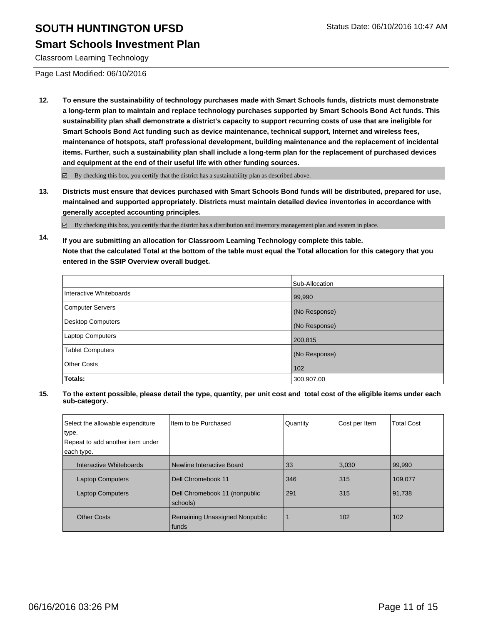### **Smart Schools Investment Plan**

Classroom Learning Technology

Page Last Modified: 06/10/2016

**12. To ensure the sustainability of technology purchases made with Smart Schools funds, districts must demonstrate a long-term plan to maintain and replace technology purchases supported by Smart Schools Bond Act funds. This sustainability plan shall demonstrate a district's capacity to support recurring costs of use that are ineligible for Smart Schools Bond Act funding such as device maintenance, technical support, Internet and wireless fees, maintenance of hotspots, staff professional development, building maintenance and the replacement of incidental items. Further, such a sustainability plan shall include a long-term plan for the replacement of purchased devices and equipment at the end of their useful life with other funding sources.**

By checking this box, you certify that the district has a sustainability plan as described above.

**13. Districts must ensure that devices purchased with Smart Schools Bond funds will be distributed, prepared for use, maintained and supported appropriately. Districts must maintain detailed device inventories in accordance with generally accepted accounting principles.**

 $\boxtimes$  By checking this box, you certify that the district has a distribution and inventory management plan and system in place.

**14. If you are submitting an allocation for Classroom Learning Technology complete this table. Note that the calculated Total at the bottom of the table must equal the Total allocation for this category that you entered in the SSIP Overview overall budget.**

|                         | Sub-Allocation |
|-------------------------|----------------|
| Interactive Whiteboards | 99,990         |
| Computer Servers        | (No Response)  |
| Desktop Computers       | (No Response)  |
| <b>Laptop Computers</b> | 200,815        |
| <b>Tablet Computers</b> | (No Response)  |
| Other Costs             | 102            |
| Totals:                 | 300,907.00     |

| Select the allowable expenditure<br>type. | I Item to be Purchased                    | Quantity | Cost per Item | <b>Total Cost</b> |
|-------------------------------------------|-------------------------------------------|----------|---------------|-------------------|
| Repeat to add another item under          |                                           |          |               |                   |
| each type.                                |                                           |          |               |                   |
| Interactive Whiteboards                   | Newline Interactive Board                 | 33       | 3,030         | 99.990            |
| <b>Laptop Computers</b>                   | Dell Chromebook 11                        | 346      | 315           | 109,077           |
| <b>Laptop Computers</b>                   | Dell Chromebook 11 (nonpublic<br>schools) | 291      | 315           | 91,738            |
| <b>Other Costs</b>                        | Remaining Unassigned Nonpublic<br>funds   |          | 102           | 102               |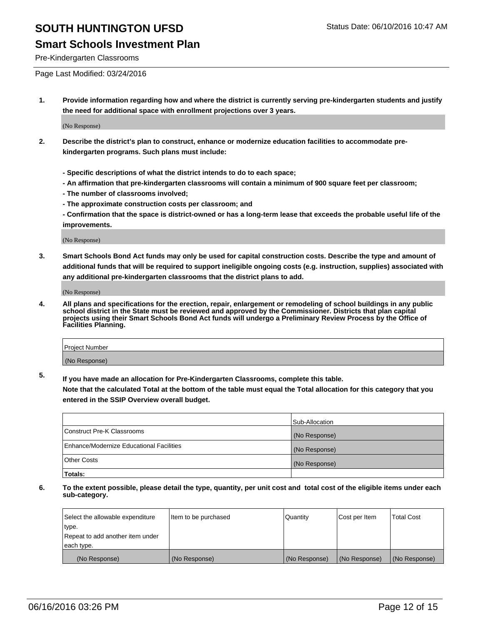## **Smart Schools Investment Plan**

Pre-Kindergarten Classrooms

Page Last Modified: 03/24/2016

**1. Provide information regarding how and where the district is currently serving pre-kindergarten students and justify the need for additional space with enrollment projections over 3 years.**

(No Response)

- **2. Describe the district's plan to construct, enhance or modernize education facilities to accommodate prekindergarten programs. Such plans must include:**
	- **Specific descriptions of what the district intends to do to each space;**
	- **An affirmation that pre-kindergarten classrooms will contain a minimum of 900 square feet per classroom;**
	- **The number of classrooms involved;**
	- **The approximate construction costs per classroom; and**
	- **Confirmation that the space is district-owned or has a long-term lease that exceeds the probable useful life of the improvements.**

(No Response)

**3. Smart Schools Bond Act funds may only be used for capital construction costs. Describe the type and amount of additional funds that will be required to support ineligible ongoing costs (e.g. instruction, supplies) associated with any additional pre-kindergarten classrooms that the district plans to add.**

(No Response)

**4. All plans and specifications for the erection, repair, enlargement or remodeling of school buildings in any public school district in the State must be reviewed and approved by the Commissioner. Districts that plan capital projects using their Smart Schools Bond Act funds will undergo a Preliminary Review Process by the Office of Facilities Planning.**

| Project Number |  |
|----------------|--|
| (No Response)  |  |

**5. If you have made an allocation for Pre-Kindergarten Classrooms, complete this table.**

**Note that the calculated Total at the bottom of the table must equal the Total allocation for this category that you entered in the SSIP Overview overall budget.**

|                                          | Sub-Allocation |
|------------------------------------------|----------------|
| Construct Pre-K Classrooms               | (No Response)  |
| Enhance/Modernize Educational Facilities | (No Response)  |
| Other Costs                              | (No Response)  |
| Totals:                                  |                |

| Select the allowable expenditure | Item to be purchased | Quantity      | Cost per Item | <b>Total Cost</b> |
|----------------------------------|----------------------|---------------|---------------|-------------------|
| type.                            |                      |               |               |                   |
| Repeat to add another item under |                      |               |               |                   |
| each type.                       |                      |               |               |                   |
| (No Response)                    | (No Response)        | (No Response) | (No Response) | (No Response)     |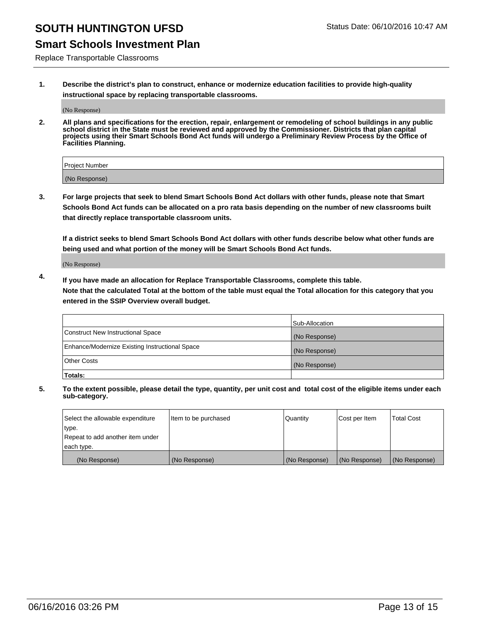## **Smart Schools Investment Plan**

Replace Transportable Classrooms

**1. Describe the district's plan to construct, enhance or modernize education facilities to provide high-quality instructional space by replacing transportable classrooms.**

(No Response)

**2. All plans and specifications for the erection, repair, enlargement or remodeling of school buildings in any public school district in the State must be reviewed and approved by the Commissioner. Districts that plan capital projects using their Smart Schools Bond Act funds will undergo a Preliminary Review Process by the Office of Facilities Planning.**

| Project Number |  |
|----------------|--|
| (No Response)  |  |

**3. For large projects that seek to blend Smart Schools Bond Act dollars with other funds, please note that Smart Schools Bond Act funds can be allocated on a pro rata basis depending on the number of new classrooms built that directly replace transportable classroom units.**

**If a district seeks to blend Smart Schools Bond Act dollars with other funds describe below what other funds are being used and what portion of the money will be Smart Schools Bond Act funds.**

(No Response)

**4. If you have made an allocation for Replace Transportable Classrooms, complete this table. Note that the calculated Total at the bottom of the table must equal the Total allocation for this category that you entered in the SSIP Overview overall budget.**

|                                                | Sub-Allocation |
|------------------------------------------------|----------------|
| Construct New Instructional Space              | (No Response)  |
| Enhance/Modernize Existing Instructional Space | (No Response)  |
| <b>Other Costs</b>                             | (No Response)  |
| Totals:                                        |                |

| Select the allowable expenditure | Item to be purchased | Quantity      | Cost per Item | <b>Total Cost</b> |
|----------------------------------|----------------------|---------------|---------------|-------------------|
| type.                            |                      |               |               |                   |
| Repeat to add another item under |                      |               |               |                   |
| each type.                       |                      |               |               |                   |
| (No Response)                    | (No Response)        | (No Response) | (No Response) | (No Response)     |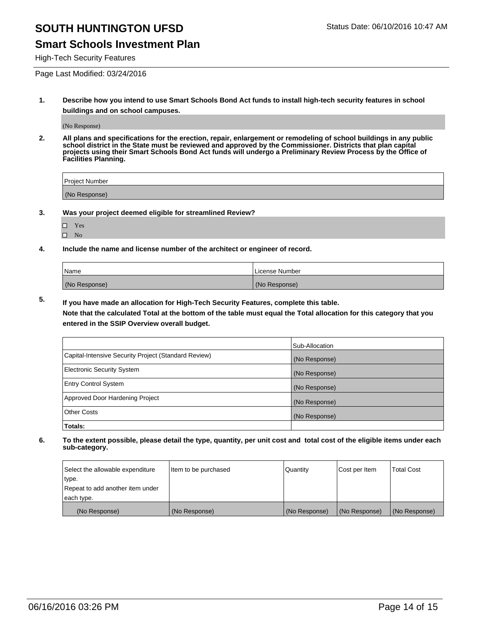### **Smart Schools Investment Plan**

High-Tech Security Features

Page Last Modified: 03/24/2016

**1. Describe how you intend to use Smart Schools Bond Act funds to install high-tech security features in school buildings and on school campuses.**

(No Response)

**2. All plans and specifications for the erection, repair, enlargement or remodeling of school buildings in any public school district in the State must be reviewed and approved by the Commissioner. Districts that plan capital projects using their Smart Schools Bond Act funds will undergo a Preliminary Review Process by the Office of Facilities Planning.** 

| Project Number |  |
|----------------|--|
| (No Response)  |  |

**3. Was your project deemed eligible for streamlined Review?**

□ Yes  $\hfill \square$  No

**4. Include the name and license number of the architect or engineer of record.**

| Name          | License Number |
|---------------|----------------|
| (No Response) | (No Response)  |

**5. If you have made an allocation for High-Tech Security Features, complete this table.**

**Note that the calculated Total at the bottom of the table must equal the Total allocation for this category that you entered in the SSIP Overview overall budget.**

|                                                      | Sub-Allocation |
|------------------------------------------------------|----------------|
| Capital-Intensive Security Project (Standard Review) | (No Response)  |
| <b>Electronic Security System</b>                    | (No Response)  |
| <b>Entry Control System</b>                          | (No Response)  |
| Approved Door Hardening Project                      | (No Response)  |
| <b>Other Costs</b>                                   | (No Response)  |
| Totals:                                              |                |

| Select the allowable expenditure | Item to be purchased | Quantity      | Cost per Item | <b>Total Cost</b> |
|----------------------------------|----------------------|---------------|---------------|-------------------|
| type.                            |                      |               |               |                   |
| Repeat to add another item under |                      |               |               |                   |
| each type.                       |                      |               |               |                   |
| (No Response)                    | (No Response)        | (No Response) | (No Response) | (No Response)     |